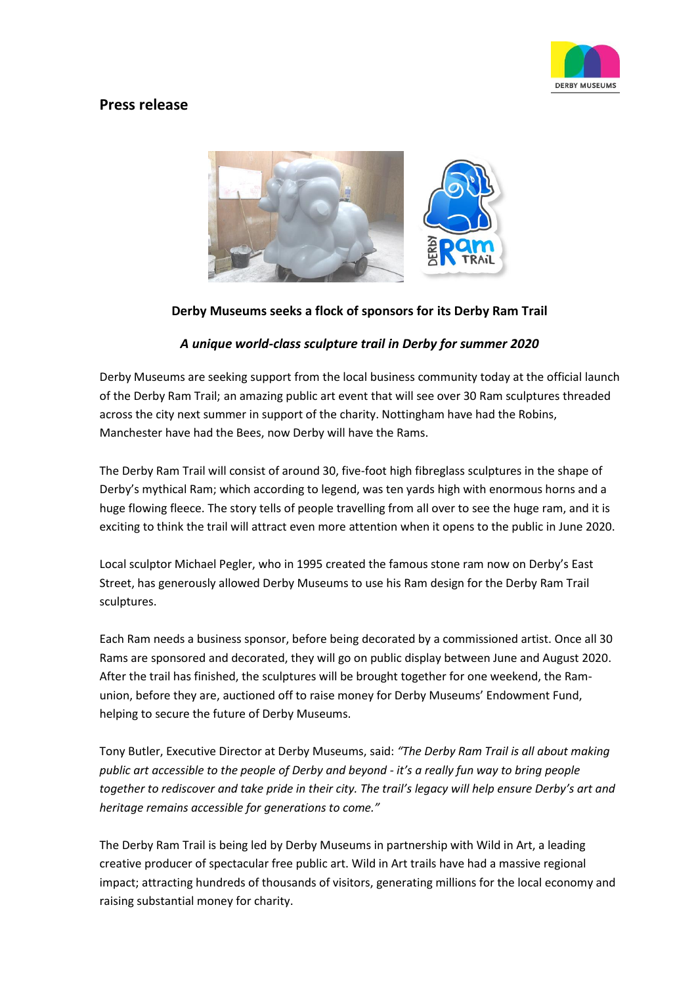

# **Press release**



# **Derby Museums seeks a flock of sponsors for its Derby Ram Trail**

# *A unique world-class sculpture trail in Derby for summer 2020*

Derby Museums are seeking support from the local business community today at the official launch of the Derby Ram Trail; an amazing public art event that will see over 30 Ram sculptures threaded across the city next summer in support of the charity. Nottingham have had the Robins, Manchester have had the Bees, now Derby will have the Rams.

The Derby Ram Trail will consist of around 30, five-foot high fibreglass sculptures in the shape of Derby's mythical Ram; which according to legend, was ten yards high with enormous horns and a huge flowing fleece. The story tells of people travelling from all over to see the huge ram, and it is exciting to think the trail will attract even more attention when it opens to the public in June 2020.

Local sculptor Michael Pegler, who in 1995 created the famous stone ram now on Derby's East Street, has generously allowed Derby Museums to use his Ram design for the Derby Ram Trail sculptures.

Each Ram needs a business sponsor, before being decorated by a commissioned artist. Once all 30 Rams are sponsored and decorated, they will go on public display between June and August 2020. After the trail has finished, the sculptures will be brought together for one weekend, the Ramunion, before they are, auctioned off to raise money for Derby Museums' Endowment Fund, helping to secure the future of Derby Museums.

Tony Butler, Executive Director at Derby Museums, said: *"The Derby Ram Trail is all about making public art accessible to the people of Derby and beyond - it's a really fun way to bring people together to rediscover and take pride in their city. The trail's legacy will help ensure Derby's art and heritage remains accessible for generations to come."*

The Derby Ram Trail is being led by Derby Museums in partnership with Wild in Art, a leading creative producer of spectacular free public art. Wild in Art trails have had a massive regional impact; attracting hundreds of thousands of visitors, generating millions for the local economy and raising substantial money for charity.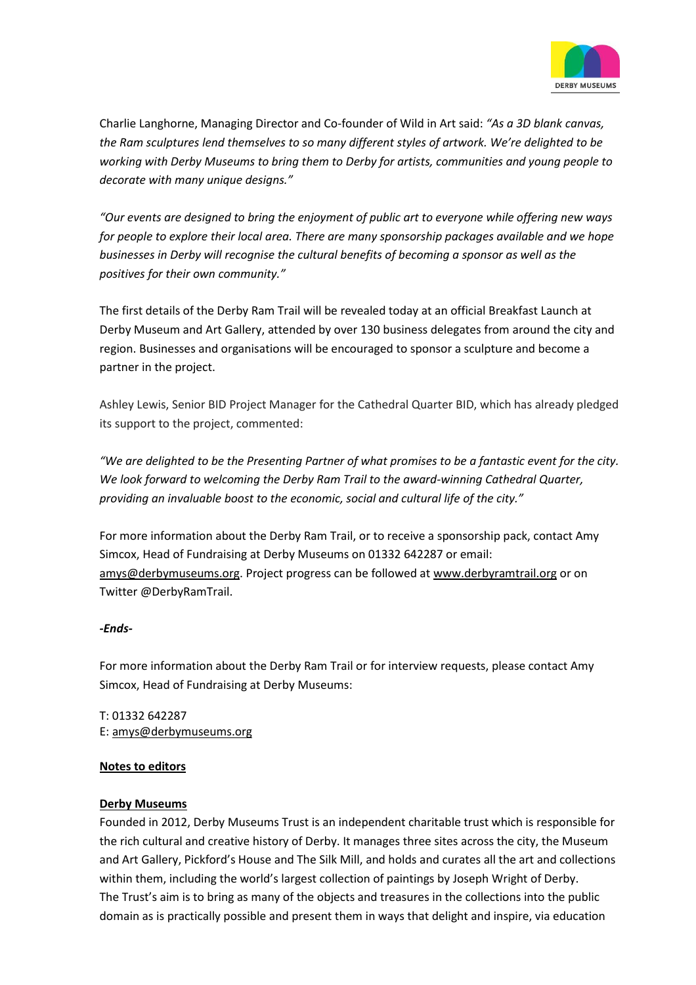

Charlie Langhorne, Managing Director and Co-founder of Wild in Art said: *"As a 3D blank canvas, the Ram sculptures lend themselves to so many different styles of artwork. We're delighted to be working with Derby Museums to bring them to Derby for artists, communities and young people to decorate with many unique designs."*

*"Our events are designed to bring the enjoyment of public art to everyone while offering new ways for people to explore their local area. There are many sponsorship packages available and we hope businesses in Derby will recognise the cultural benefits of becoming a sponsor as well as the positives for their own community."*

The first details of the Derby Ram Trail will be revealed today at an official Breakfast Launch at Derby Museum and Art Gallery, attended by over 130 business delegates from around the city and region. Businesses and organisations will be encouraged to sponsor a sculpture and become a partner in the project.

Ashley Lewis, Senior BID Project Manager for the Cathedral Quarter BID, which has already pledged its support to the project, commented:

*"We are delighted to be the Presenting Partner of what promises to be a fantastic event for the city. We look forward to welcoming the Derby Ram Trail to the award-winning Cathedral Quarter, providing an invaluable boost to the economic, social and cultural life of the city."*

For more information about the Derby Ram Trail, or to receive a sponsorship pack, contact Amy Simcox, Head of Fundraising at Derby Museums on 01332 642287 or email: [amys@derbymuseums.org.](mailto:amys@derbymuseums.org) Project progress can be followed at [www.derbyramtrail.org](http://www.derbyramtrail.org/) or on Twitter @DerbyRamTrail.

# *-Ends-*

For more information about the Derby Ram Trail or for interview requests, please contact Amy Simcox, Head of Fundraising at Derby Museums:

T: 01332 642287 E: [amys@derbymuseums.org](mailto:amys@derbymuseums.org)

#### **Notes to editors**

# **[Derby Museums](https://www.derbymuseums.org/)**

Founded in 2012, Derby Museums Trust is an independent charitable trust which is responsible for the rich cultural and creative history of Derby. It manages three sites across the city, the Museum and Art Gallery, Pickford's House and The Silk Mill, and holds and curates all the art and collections within them, including the world's largest collection of paintings by Joseph Wright of Derby. The Trust's aim is to bring as many of the objects and treasures in the collections into the public domain as is practically possible and present them in ways that delight and inspire, via education